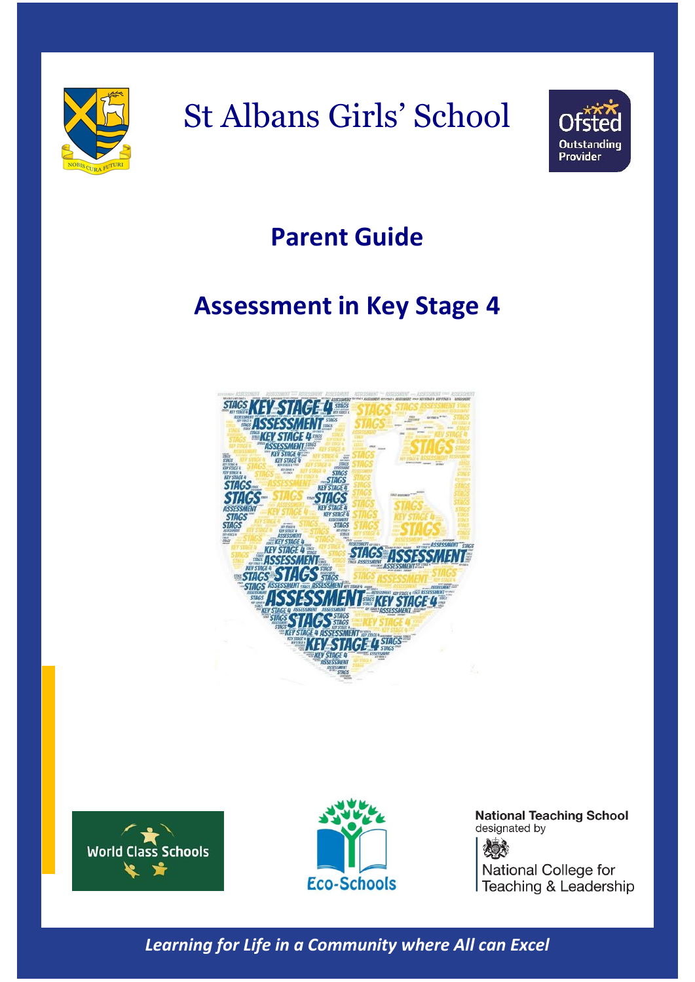

# St Albans Girls' School



### **Parent Guide**

## **Assessment in Key Stage 4**







**National Teaching School** designated by 化分布 National College for Teaching & Leadership

*Learning for Life in a Community where All can Excel*